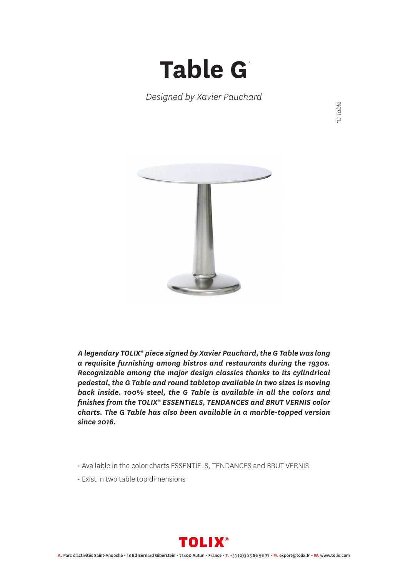## **Table G** *\**

*Designed by Xavier Pauchard*

*\*G Table*



*A legendary TOLIX® piece signed by Xavier Pauchard, the G Table was long a requisite furnishing among bistros and restaurants during the 1930s. Recognizable among the major design classics thanks to its cylindrical pedestal, the G Table and round tabletop available in two sizes is moving back inside. 100% steel, the G Table is available in all the colors and finishes from the TOLIX® ESSENTIELS, TENDANCES and BRUT VERNIS color charts. The G Table has also been available in a marble-topped version since 2016.*

- Available in the color charts ESSENTIELS, TENDANCES and BRUT VERNIS
- Exist in two table top dimensions